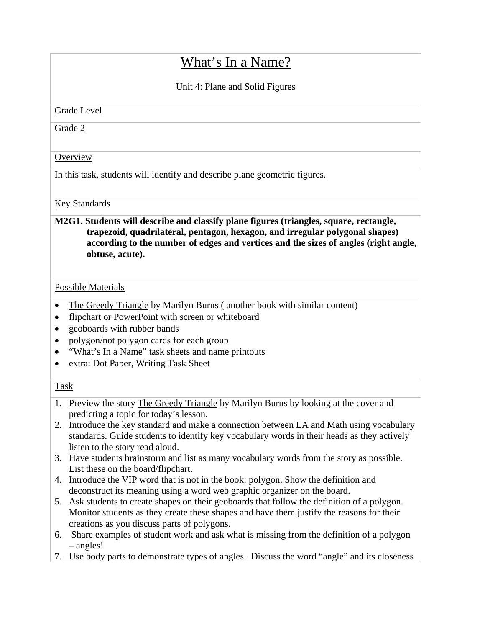# What's In a Name?

Unit 4: Plane and Solid Figures

Grade Level

Grade 2

## **Overview**

In this task, students will identify and describe plane geometric figures.

## Key Standards

# **M2G1. Students will describe and classify plane figures (triangles, square, rectangle, trapezoid, quadrilateral, pentagon, hexagon, and irregular polygonal shapes) according to the number of edges and vertices and the sizes of angles (right angle, obtuse, acute).**

#### Possible Materials

- The Greedy Triangle by Marilyn Burns (another book with similar content)
- flipchart or PowerPoint with screen or whiteboard
- geoboards with rubber bands
- polygon/not polygon cards for each group
- "What's In a Name" task sheets and name printouts
- extra: Dot Paper, Writing Task Sheet

# Task

- 1. Preview the story The Greedy Triangle by Marilyn Burns by looking at the cover and predicting a topic for today's lesson.
- 2. Introduce the key standard and make a connection between LA and Math using vocabulary standards. Guide students to identify key vocabulary words in their heads as they actively listen to the story read aloud.
- 3. Have students brainstorm and list as many vocabulary words from the story as possible. List these on the board/flipchart.
- 4. Introduce the VIP word that is not in the book: polygon. Show the definition and deconstruct its meaning using a word web graphic organizer on the board.
- 5. Ask students to create shapes on their geoboards that follow the definition of a polygon. Monitor students as they create these shapes and have them justify the reasons for their creations as you discuss parts of polygons.
- 6. Share examples of student work and ask what is missing from the definition of a polygon – angles!
- 7. Use body parts to demonstrate types of angles. Discuss the word "angle" and its closeness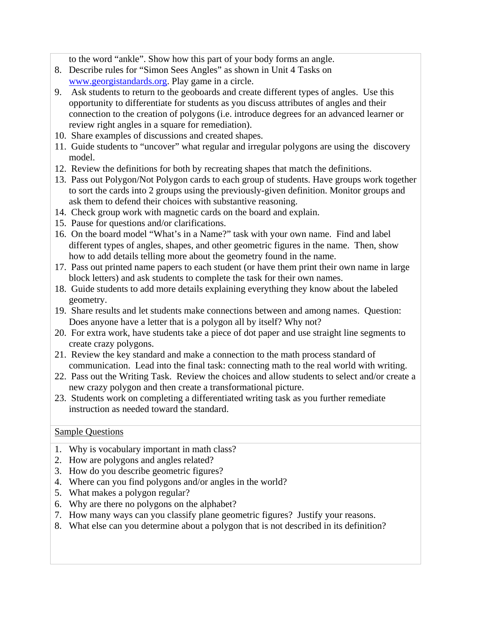to the word "ankle". Show how this part of your body forms an angle.

- 8. Describe rules for "Simon Sees Angles" as shown in Unit 4 Tasks on www.georgistandards.org. Play game in a circle.
- 9. Ask students to return to the geoboards and create different types of angles. Use this opportunity to differentiate for students as you discuss attributes of angles and their connection to the creation of polygons (i.e. introduce degrees for an advanced learner or review right angles in a square for remediation).
- 10. Share examples of discussions and created shapes.
- 11. Guide students to "uncover" what regular and irregular polygons are using the discovery model.
- 12. Review the definitions for both by recreating shapes that match the definitions.
- 13. Pass out Polygon/Not Polygon cards to each group of students. Have groups work together to sort the cards into 2 groups using the previously-given definition. Monitor groups and ask them to defend their choices with substantive reasoning.
- 14. Check group work with magnetic cards on the board and explain.
- 15. Pause for questions and/or clarifications.
- 16. On the board model "What's in a Name?" task with your own name. Find and label different types of angles, shapes, and other geometric figures in the name. Then, show how to add details telling more about the geometry found in the name.
- 17. Pass out printed name papers to each student (or have them print their own name in large block letters) and ask students to complete the task for their own names.
- 18. Guide students to add more details explaining everything they know about the labeled geometry.
- 19. Share results and let students make connections between and among names. Question: Does anyone have a letter that is a polygon all by itself? Why not?
- 20. For extra work, have students take a piece of dot paper and use straight line segments to create crazy polygons.
- 21. Review the key standard and make a connection to the math process standard of communication. Lead into the final task: connecting math to the real world with writing.
- 22. Pass out the Writing Task. Review the choices and allow students to select and/or create a new crazy polygon and then create a transformational picture.
- 23. Students work on completing a differentiated writing task as you further remediate instruction as needed toward the standard.

# Sample Questions

- 1. Why is vocabulary important in math class?
- 2. How are polygons and angles related?
- 3. How do you describe geometric figures?
- 4. Where can you find polygons and/or angles in the world?
- 5. What makes a polygon regular?
- 6. Why are there no polygons on the alphabet?
- 7. How many ways can you classify plane geometric figures? Justify your reasons.
- 8. What else can you determine about a polygon that is not described in its definition?